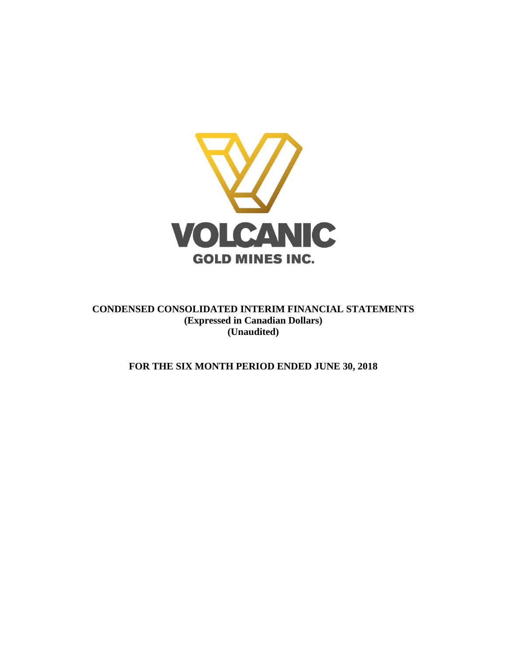

**CONDENSED CONSOLIDATED INTERIM FINANCIAL STATEMENTS (Expressed in Canadian Dollars) (Unaudited)**

**FOR THE SIX MONTH PERIOD ENDED JUNE 30, 2018**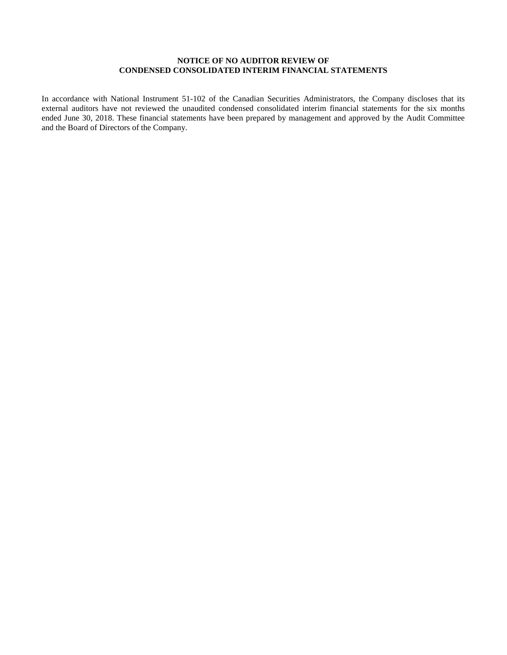# **NOTICE OF NO AUDITOR REVIEW OF CONDENSED CONSOLIDATED INTERIM FINANCIAL STATEMENTS**

In accordance with National Instrument 51-102 of the Canadian Securities Administrators, the Company discloses that its external auditors have not reviewed the unaudited condensed consolidated interim financial statements for the six months ended June 30, 2018. These financial statements have been prepared by management and approved by the Audit Committee and the Board of Directors of the Company.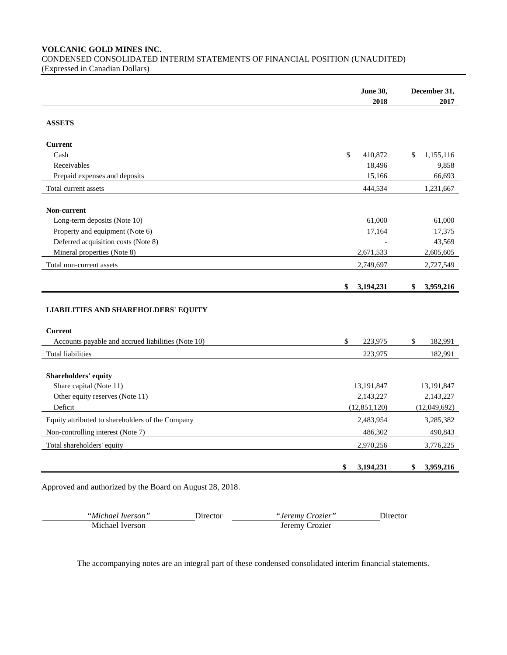**VOLCANIC GOLD MINES INC.**

CONDENSED CONSOLIDATED INTERIM STATEMENTS OF FINANCIAL POSITION (UNAUDITED) (Expressed in Canadian Dollars)

|                                                            | <b>June 30,</b>         | December 31,            |
|------------------------------------------------------------|-------------------------|-------------------------|
|                                                            | 2018                    | 2017                    |
| <b>ASSETS</b>                                              |                         |                         |
| <b>Current</b>                                             |                         |                         |
| Cash                                                       | \$<br>410,872           | \$<br>1,155,116         |
| Receivables                                                | 18,496                  | 9,858                   |
| Prepaid expenses and deposits                              | 15,166                  | 66,693                  |
| Total current assets                                       | 444,534                 | 1,231,667               |
| Non-current                                                |                         |                         |
| Long-term deposits (Note 10)                               | 61,000                  | 61,000                  |
| Property and equipment (Note 6)                            | 17,164                  | 17,375                  |
| Deferred acquisition costs (Note 8)                        |                         | 43,569                  |
| Mineral properties (Note 8)                                | 2,671,533               | 2,605,605               |
| Total non-current assets                                   | 2,749,697               | 2,727,549               |
|                                                            | 3,194,231<br>\$         | \$<br>3,959,216         |
| <b>LIABILITIES AND SHAREHOLDERS' EQUITY</b>                |                         |                         |
| <b>Current</b>                                             |                         |                         |
| Accounts payable and accrued liabilities (Note 10)         | \$<br>223,975           | 182,991<br>\$           |
| Total liabilities                                          | 223,975                 | 182,991                 |
|                                                            |                         |                         |
| Shareholders' equity                                       |                         |                         |
| Share capital (Note 11)<br>Other equity reserves (Note 11) | 13,191,847<br>2,143,227 | 13,191,847<br>2,143,227 |
| Deficit                                                    | (12, 851, 120)          | (12,049,692)            |
| Equity attributed to shareholders of the Company           | 2,483,954               |                         |
|                                                            |                         | 3,285,382               |
| Non-controlling interest (Note 7)                          | 486,302                 | 490,843                 |
| Total shareholders' equity                                 | 2,970,256               | 3,776,225               |
|                                                            | \$<br>3,194,231         | 3,959,216<br>\$         |

Approved and authorized by the Board on August 28, 2018.

| "Michael Iverson" | Director | <i>"Jeremy Crozier"</i> | Director |
|-------------------|----------|-------------------------|----------|
| Michael Iverson   |          | Jeremy Crozier          |          |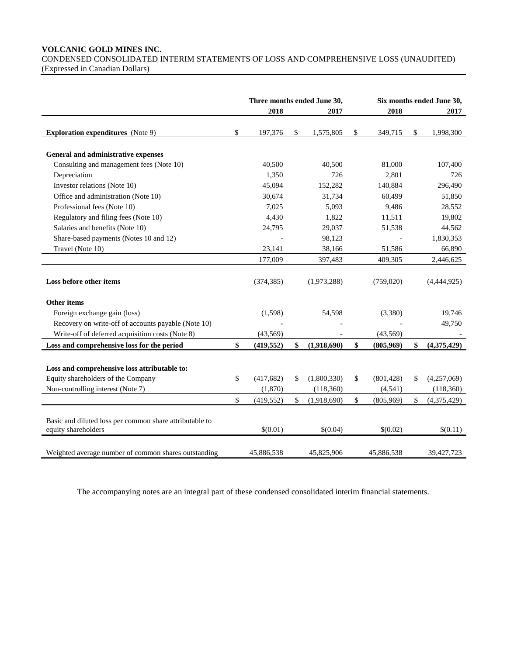# **VOLCANIC GOLD MINES INC.** CONDENSED CONSOLIDATED INTERIM STATEMENTS OF LOSS AND COMPREHENSIVE LOSS (UNAUDITED) (Expressed in Canadian Dollars)

|                                                                                | Three months ended June 30, |                   |                  | Six months ended June 30, |
|--------------------------------------------------------------------------------|-----------------------------|-------------------|------------------|---------------------------|
|                                                                                | 2018                        | 2017              | 2018             | 2017                      |
| <b>Exploration expenditures</b> (Note 9)                                       | \$<br>197,376               | \$<br>1,575,805   | \$<br>349,715    | \$<br>1,998,300           |
|                                                                                |                             |                   |                  |                           |
| General and administrative expenses                                            |                             |                   |                  |                           |
| Consulting and management fees (Note 10)                                       | 40,500                      | 40,500            | 81,000           | 107,400                   |
| Depreciation                                                                   | 1,350                       | 726               | 2,801            | 726                       |
| Investor relations (Note 10)                                                   | 45,094                      | 152,282           | 140,884          | 296,490                   |
| Office and administration (Note 10)                                            | 30,674                      | 31,734            | 60,499           | 51,850                    |
| Professional fees (Note 10)                                                    | 7,025                       | 5,093             | 9,486            | 28,552                    |
| Regulatory and filing fees (Note 10)                                           | 4,430                       | 1,822             | 11,511           | 19,802                    |
| Salaries and benefits (Note 10)                                                | 24,795                      | 29,037            | 51,538           | 44,562                    |
| Share-based payments (Notes 10 and 12)                                         |                             | 98,123            |                  | 1,830,353                 |
| Travel (Note 10)                                                               | 23,141                      | 38,166            | 51,586           | 66,890                    |
|                                                                                | 177,009                     | 397,483           | 409,305          | 2,446,625                 |
| Loss before other items                                                        | (374, 385)                  | (1,973,288)       | (759,020)        | (4,444,925)               |
| Other items                                                                    |                             |                   |                  |                           |
| Foreign exchange gain (loss)                                                   | (1,598)                     | 54,598            | (3,380)          | 19,746                    |
| Recovery on write-off of accounts payable (Note 10)                            |                             |                   |                  | 49,750                    |
| Write-off of deferred acquisition costs (Note 8)                               | (43,569)                    |                   | (43, 569)        |                           |
| Loss and comprehensive loss for the period                                     | \$<br>(419, 552)            | \$<br>(1,918,690) | \$<br>(805,969)  | \$<br>(4,375,429)         |
| Loss and comprehensive loss attributable to:                                   |                             |                   |                  |                           |
| Equity shareholders of the Company                                             | \$<br>(417, 682)            | \$<br>(1,800,330) | \$<br>(801, 428) | \$<br>(4,257,069)         |
| Non-controlling interest (Note 7)                                              | (1, 870)                    | (118,360)         | (4, 541)         | (118,360)                 |
|                                                                                | \$<br>(419, 552)            | \$<br>(1,918,690) | \$<br>(805,969)  | \$<br>(4,375,429)         |
|                                                                                |                             |                   |                  |                           |
| Basic and diluted loss per common share attributable to<br>equity shareholders | \$(0.01)                    | \$(0.04)          | \$(0.02)         | \$(0.11)                  |
| Weighted average number of common shares outstanding                           | 45,886,538                  | 45,825,906        | 45,886,538       | 39,427,723                |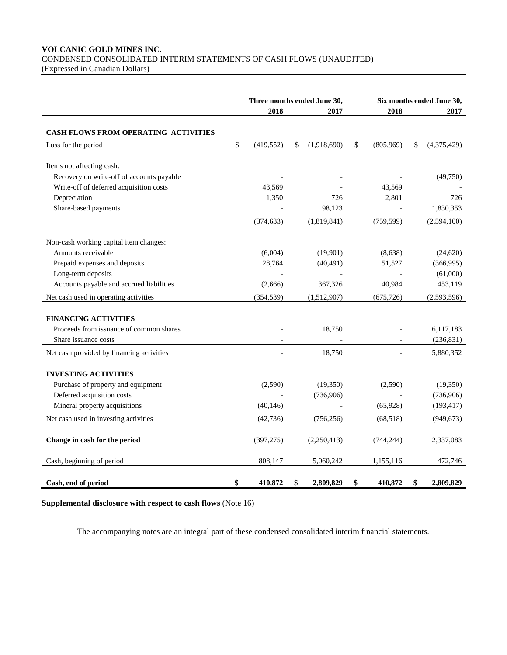# **VOLCANIC GOLD MINES INC.** CONDENSED CONSOLIDATED INTERIM STATEMENTS OF CASH FLOWS (UNAUDITED)

(Expressed in Canadian Dollars)

|                                                                  | Three months ended June 30,<br>2018<br>2017 |    |                       | 2018            | Six months ended June 30,<br>2017 |                       |
|------------------------------------------------------------------|---------------------------------------------|----|-----------------------|-----------------|-----------------------------------|-----------------------|
|                                                                  |                                             |    |                       |                 |                                   |                       |
| <b>CASH FLOWS FROM OPERATING ACTIVITIES</b>                      |                                             |    |                       |                 |                                   |                       |
| Loss for the period                                              | \$<br>(419, 552)                            | \$ | (1,918,690)           | \$<br>(805,969) | \$                                | (4,375,429)           |
| Items not affecting cash:                                        |                                             |    |                       |                 |                                   |                       |
| Recovery on write-off of accounts payable                        |                                             |    |                       |                 |                                   | (49,750)              |
| Write-off of deferred acquisition costs                          | 43.569                                      |    |                       | 43,569          |                                   |                       |
| Depreciation                                                     | 1,350                                       |    | 726                   | 2,801           |                                   | 726                   |
| Share-based payments                                             |                                             |    | 98,123                |                 |                                   | 1,830,353             |
|                                                                  | (374, 633)                                  |    | (1,819,841)           | (759, 599)      |                                   | (2,594,100)           |
| Non-cash working capital item changes:                           |                                             |    |                       |                 |                                   |                       |
| Amounts receivable                                               | (6,004)                                     |    | (19,901)              | (8,638)         |                                   | (24, 620)             |
| Prepaid expenses and deposits                                    | 28,764                                      |    | (40, 491)             | 51,527          |                                   | (366,995)             |
| Long-term deposits                                               |                                             |    |                       |                 |                                   | (61,000)              |
| Accounts payable and accrued liabilities                         | (2,666)                                     |    | 367,326               | 40,984          |                                   | 453,119               |
| Net cash used in operating activities                            | (354, 539)                                  |    | (1,512,907)           | (675, 726)      |                                   | (2,593,596)           |
| <b>FINANCING ACTIVITIES</b>                                      |                                             |    |                       |                 |                                   |                       |
| Proceeds from issuance of common shares                          |                                             |    | 18,750                |                 |                                   | 6,117,183             |
| Share issuance costs                                             |                                             |    |                       |                 |                                   | (236, 831)            |
| Net cash provided by financing activities                        |                                             |    | 18,750                |                 |                                   | 5,880,352             |
|                                                                  |                                             |    |                       |                 |                                   |                       |
| <b>INVESTING ACTIVITIES</b>                                      |                                             |    |                       |                 |                                   |                       |
| Purchase of property and equipment<br>Deferred acquisition costs | (2,590)                                     |    | (19,350)<br>(736,906) | (2,590)         |                                   | (19,350)<br>(736,906) |
| Mineral property acquisitions                                    | (40, 146)                                   |    |                       | (65, 928)       |                                   | (193, 417)            |
|                                                                  |                                             |    |                       |                 |                                   |                       |
| Net cash used in investing activities                            | (42, 736)                                   |    | (756, 256)            | (68,518)        |                                   | (949, 673)            |
| Change in cash for the period                                    | (397, 275)                                  |    | (2,250,413)           | (744, 244)      |                                   | 2,337,083             |
| Cash, beginning of period                                        | 808,147                                     |    | 5,060,242             | 1,155,116       |                                   | 472,746               |
|                                                                  |                                             |    |                       |                 |                                   |                       |
| Cash, end of period                                              | \$<br>410,872                               | \$ | 2,809,829             | \$<br>410,872   | \$                                | 2,809,829             |

**Supplemental disclosure with respect to cash flows** (Note 16)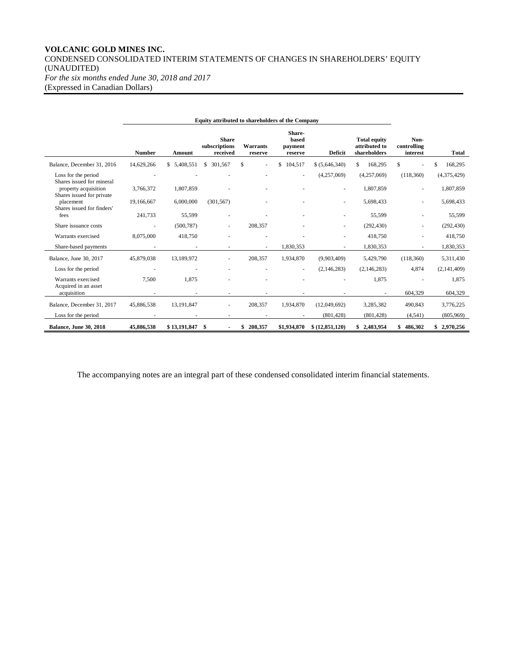### **VOLCANIC GOLD MINES INC.** CONDENSED CONSOLIDATED INTERIM STATEMENTS OF CHANGES IN SHAREHOLDERS' EQUITY (UNAUDITED) *For the six months ended June 30, 2018 and 2017* (Expressed in Canadian Dollars)

**Equity attributed to shareholders of the Company Number Amount Share subscriptions received Warrants reserve Sharebased payment reserve Deficit Total equity attributed to shareholders Noncontrolling interest Total** Balance, December 31, 2016 14,629,266 \$ 5,408,551 \$ 301,567 \$ - \$ 104,517 \$ (5,646,340) \$ 168,295 \$ - \$ 168,295 Loss for the period - - - - - (4,257,069) (4,257,069) (118,360) (4,375,429) Shares issued for mineral property acquisition 3,766,372 1,807,859 - - - - 1,807,859 - 1,807,859 Shares issued for private placement 19,166,667 6,000,000 (301,567) - - - 5,698,433 - 5,698,433 Shares issued for finders' fees 241,733 55,599 - - - - 55,599 - 55,599 Share issuance costs - (500,787) - 208,357 - - (292,430) - (292,430) Warrants exercised 8,075,000 418,750 - - - - - - - 418,750 - 418,750 Share-based payments **- 1,830,353** - 1,830,353 - 1,830,353 - 1,830,353 Balance, June 30, 2017 45,879,038 13,189,972 - 208,357 1,934,870 (9,903,409) 5,429,790 (118,360) 5,311,430 Loss for the period - - - - - (2,146,283) (2,146,283) 4,874 (2,141,409) Warrants exercised 7,500 1,875 - - - - 1,875 - 1,875 - 1,875 Acquired in an asset acquisition - - - - - - - 604,329 604,329 Balance, December 31, 2017 45,886,538 13,191,847 - 208,357 1,934,870 (12,049,692) 3,285,382 490,843 3,776,225 Loss for the period **-** - - - - - - - - (801,428) (801,428) (801,428) (4,541) (805,969) **Balance, June 30, 2018 45,886,538 \$ 13,191,847 \$ - \$ 208,357 \$1,934,870 \$ (12,851,120) \$ 2,483,954 \$ 486,302 \$ 2,970,256**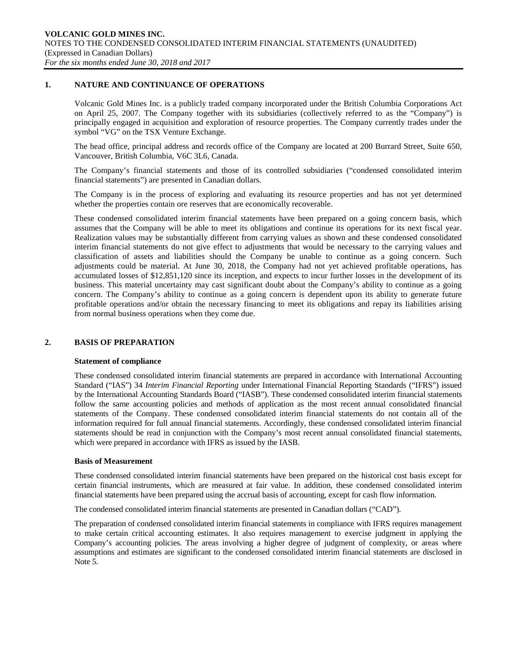### **1. NATURE AND CONTINUANCE OF OPERATIONS**

Volcanic Gold Mines Inc. is a publicly traded company incorporated under the British Columbia Corporations Act on April 25, 2007. The Company together with its subsidiaries (collectively referred to as the "Company") is principally engaged in acquisition and exploration of resource properties. The Company currently trades under the symbol "VG" on the TSX Venture Exchange.

The head office, principal address and records office of the Company are located at 200 Burrard Street, Suite 650, Vancouver, British Columbia, V6C 3L6, Canada.

The Company's financial statements and those of its controlled subsidiaries ("condensed consolidated interim financial statements") are presented in Canadian dollars.

The Company is in the process of exploring and evaluating its resource properties and has not yet determined whether the properties contain ore reserves that are economically recoverable.

These condensed consolidated interim financial statements have been prepared on a going concern basis, which assumes that the Company will be able to meet its obligations and continue its operations for its next fiscal year. Realization values may be substantially different from carrying values as shown and these condensed consolidated interim financial statements do not give effect to adjustments that would be necessary to the carrying values and classification of assets and liabilities should the Company be unable to continue as a going concern. Such adjustments could be material. At June 30, 2018, the Company had not yet achieved profitable operations, has accumulated losses of \$12,851,120 since its inception, and expects to incur further losses in the development of its business. This material uncertainty may cast significant doubt about the Company's ability to continue as a going concern. The Company's ability to continue as a going concern is dependent upon its ability to generate future profitable operations and/or obtain the necessary financing to meet its obligations and repay its liabilities arising from normal business operations when they come due.

### **2. BASIS OF PREPARATION**

### **Statement of compliance**

These condensed consolidated interim financial statements are prepared in accordance with International Accounting Standard ("IAS") 34 *Interim Financial Reporting* under International Financial Reporting Standards ("IFRS") issued by the International Accounting Standards Board ("IASB"). These condensed consolidated interim financial statements follow the same accounting policies and methods of application as the most recent annual consolidated financial statements of the Company. These condensed consolidated interim financial statements do not contain all of the information required for full annual financial statements. Accordingly, these condensed consolidated interim financial statements should be read in conjunction with the Company's most recent annual consolidated financial statements, which were prepared in accordance with IFRS as issued by the IASB.

### **Basis of Measurement**

These condensed consolidated interim financial statements have been prepared on the historical cost basis except for certain financial instruments, which are measured at fair value. In addition, these condensed consolidated interim financial statements have been prepared using the accrual basis of accounting, except for cash flow information.

The condensed consolidated interim financial statements are presented in Canadian dollars ("CAD").

The preparation of condensed consolidated interim financial statements in compliance with IFRS requires management to make certain critical accounting estimates. It also requires management to exercise judgment in applying the Company's accounting policies. The areas involving a higher degree of judgment of complexity, or areas where assumptions and estimates are significant to the condensed consolidated interim financial statements are disclosed in Note 5.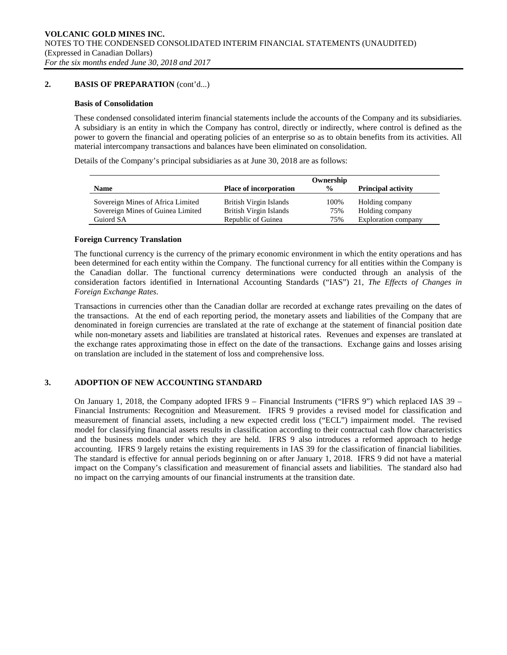# **2. BASIS OF PREPARATION** (cont'd...)

### **Basis of Consolidation**

These condensed consolidated interim financial statements include the accounts of the Company and its subsidiaries. A subsidiary is an entity in which the Company has control, directly or indirectly, where control is defined as the power to govern the financial and operating policies of an enterprise so as to obtain benefits from its activities. All material intercompany transactions and balances have been eliminated on consolidation.

Details of the Company's principal subsidiaries as at June 30, 2018 are as follows:

|                                   |                               | Ownership     |                           |
|-----------------------------------|-------------------------------|---------------|---------------------------|
| <b>Name</b>                       | <b>Place of incorporation</b> | $\frac{0}{0}$ | <b>Principal activity</b> |
| Sovereign Mines of Africa Limited | British Virgin Islands        | 100%          | Holding company           |
| Sovereign Mines of Guinea Limited | British Virgin Islands        | 75%           | Holding company           |
| Guiord SA                         | Republic of Guinea            | 75%           | Exploration company       |

# **Foreign Currency Translation**

The functional currency is the currency of the primary economic environment in which the entity operations and has been determined for each entity within the Company. The functional currency for all entities within the Company is the Canadian dollar. The functional currency determinations were conducted through an analysis of the consideration factors identified in International Accounting Standards ("IAS") 21, *The Effects of Changes in Foreign Exchange Rates*.

Transactions in currencies other than the Canadian dollar are recorded at exchange rates prevailing on the dates of the transactions. At the end of each reporting period, the monetary assets and liabilities of the Company that are denominated in foreign currencies are translated at the rate of exchange at the statement of financial position date while non-monetary assets and liabilities are translated at historical rates. Revenues and expenses are translated at the exchange rates approximating those in effect on the date of the transactions. Exchange gains and losses arising on translation are included in the statement of loss and comprehensive loss.

# **3. ADOPTION OF NEW ACCOUNTING STANDARD**

On January 1, 2018, the Company adopted IFRS 9 – Financial Instruments ("IFRS 9") which replaced IAS 39 – Financial Instruments: Recognition and Measurement. IFRS 9 provides a revised model for classification and measurement of financial assets, including a new expected credit loss ("ECL") impairment model. The revised model for classifying financial assets results in classification according to their contractual cash flow characteristics and the business models under which they are held. IFRS 9 also introduces a reformed approach to hedge accounting. IFRS 9 largely retains the existing requirements in IAS 39 for the classification of financial liabilities. The standard is effective for annual periods beginning on or after January 1, 2018. IFRS 9 did not have a material impact on the Company's classification and measurement of financial assets and liabilities. The standard also had no impact on the carrying amounts of our financial instruments at the transition date.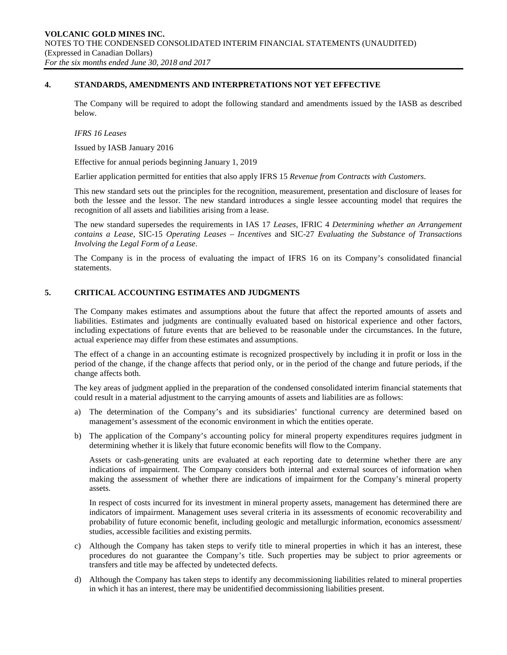### **4. STANDARDS, AMENDMENTS AND INTERPRETATIONS NOT YET EFFECTIVE**

The Company will be required to adopt the following standard and amendments issued by the IASB as described below.

#### *IFRS 16 Leases*

Issued by IASB January 2016

Effective for annual periods beginning January 1, 2019

Earlier application permitted for entities that also apply IFRS 15 *Revenue from Contracts with Customers*.

This new standard sets out the principles for the recognition, measurement, presentation and disclosure of leases for both the lessee and the lessor. The new standard introduces a single lessee accounting model that requires the recognition of all assets and liabilities arising from a lease.

The new standard supersedes the requirements in IAS 17 *Leases*, IFRIC 4 *Determining whether an Arrangement contains a Lease*, SIC-15 *Operating Leases – Incentives* and SIC-27 *Evaluating the Substance of Transactions Involving the Legal Form of a Lease*.

The Company is in the process of evaluating the impact of IFRS 16 on its Company's consolidated financial statements.

### **5. CRITICAL ACCOUNTING ESTIMATES AND JUDGMENTS**

The Company makes estimates and assumptions about the future that affect the reported amounts of assets and liabilities. Estimates and judgments are continually evaluated based on historical experience and other factors, including expectations of future events that are believed to be reasonable under the circumstances. In the future, actual experience may differ from these estimates and assumptions.

The effect of a change in an accounting estimate is recognized prospectively by including it in profit or loss in the period of the change, if the change affects that period only, or in the period of the change and future periods, if the change affects both.

The key areas of judgment applied in the preparation of the condensed consolidated interim financial statements that could result in a material adjustment to the carrying amounts of assets and liabilities are as follows:

- a) The determination of the Company's and its subsidiaries' functional currency are determined based on management's assessment of the economic environment in which the entities operate.
- b) The application of the Company's accounting policy for mineral property expenditures requires judgment in determining whether it is likely that future economic benefits will flow to the Company.

Assets or cash-generating units are evaluated at each reporting date to determine whether there are any indications of impairment. The Company considers both internal and external sources of information when making the assessment of whether there are indications of impairment for the Company's mineral property assets.

In respect of costs incurred for its investment in mineral property assets, management has determined there are indicators of impairment. Management uses several criteria in its assessments of economic recoverability and probability of future economic benefit, including geologic and metallurgic information, economics assessment/ studies, accessible facilities and existing permits.

- c) Although the Company has taken steps to verify title to mineral properties in which it has an interest, these procedures do not guarantee the Company's title. Such properties may be subject to prior agreements or transfers and title may be affected by undetected defects.
- d) Although the Company has taken steps to identify any decommissioning liabilities related to mineral properties in which it has an interest, there may be unidentified decommissioning liabilities present.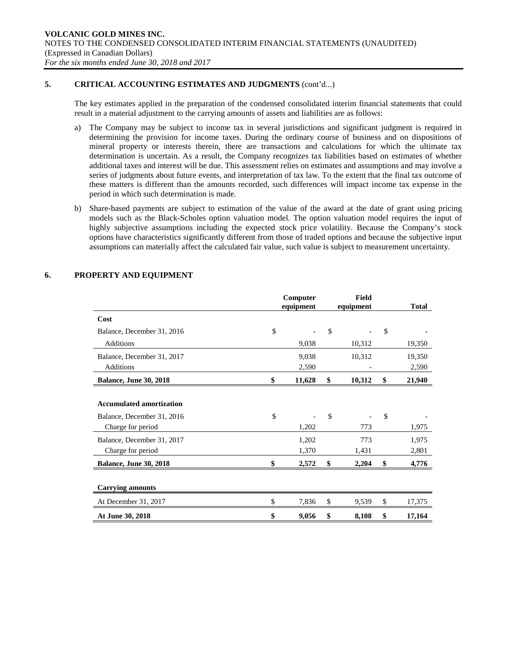# **5. CRITICAL ACCOUNTING ESTIMATES AND JUDGMENTS** (cont'd...)

The key estimates applied in the preparation of the condensed consolidated interim financial statements that could result in a material adjustment to the carrying amounts of assets and liabilities are as follows:

- a) The Company may be subject to income tax in several jurisdictions and significant judgment is required in determining the provision for income taxes. During the ordinary course of business and on dispositions of mineral property or interests therein, there are transactions and calculations for which the ultimate tax determination is uncertain. As a result, the Company recognizes tax liabilities based on estimates of whether additional taxes and interest will be due. This assessment relies on estimates and assumptions and may involve a series of judgments about future events, and interpretation of tax law. To the extent that the final tax outcome of these matters is different than the amounts recorded, such differences will impact income tax expense in the period in which such determination is made.
- b) Share-based payments are subject to estimation of the value of the award at the date of grant using pricing models such as the Black-Scholes option valuation model. The option valuation model requires the input of highly subjective assumptions including the expected stock price volatility. Because the Company's stock options have characteristics significantly different from those of traded options and because the subjective input assumptions can materially affect the calculated fair value, such value is subject to measurement uncertainty.

|                                                                      | Computer<br>equipment | <b>Field</b><br>equipment | <b>Total</b>        |                         |
|----------------------------------------------------------------------|-----------------------|---------------------------|---------------------|-------------------------|
| Cost                                                                 |                       |                           |                     |                         |
| Balance, December 31, 2016                                           | \$                    |                           | \$                  | \$                      |
| <b>Additions</b>                                                     |                       | 9,038                     | 10,312              | 19,350                  |
| Balance, December 31, 2017                                           |                       | 9,038                     | 10,312              | 19,350                  |
| Additions                                                            |                       | 2,590                     |                     | 2,590                   |
| <b>Balance, June 30, 2018</b>                                        | \$                    | 11,628                    | \$<br>10,312        | \$<br>21,940            |
| <b>Accumulated amortization</b><br>Balance, December 31, 2016        | \$                    |                           | \$                  | \$                      |
| Charge for period<br>Balance, December 31, 2017<br>Charge for period |                       | 1,202<br>1,202<br>1,370   | 773<br>773<br>1,431 | 1,975<br>1,975<br>2,801 |
| <b>Balance, June 30, 2018</b>                                        | \$                    | 2,572                     | \$<br>2,204         | \$<br>4,776             |
| <b>Carrying amounts</b>                                              |                       |                           |                     |                         |
| At December 31, 2017                                                 | \$                    | 7,836                     | \$<br>9,539         | \$<br>17,375            |
| At June 30, 2018                                                     | \$                    | 9,056                     | \$<br>8,108         | \$<br>17,164            |

# **6. PROPERTY AND EQUIPMENT**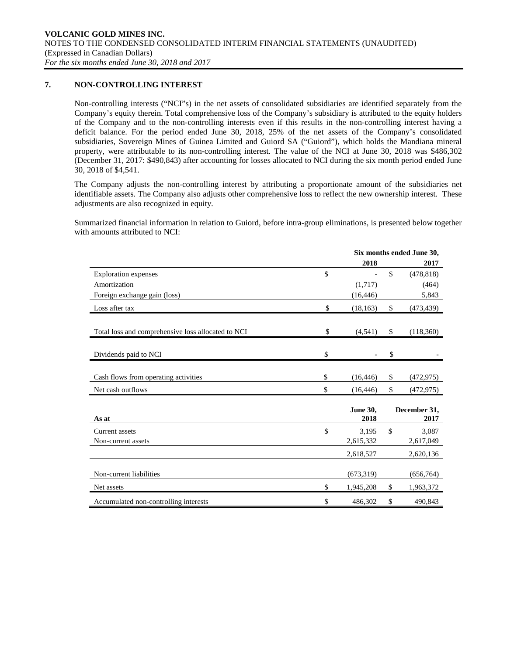# **7. NON-CONTROLLING INTEREST**

Non-controlling interests ("NCI"s) in the net assets of consolidated subsidiaries are identified separately from the Company's equity therein. Total comprehensive loss of the Company's subsidiary is attributed to the equity holders of the Company and to the non-controlling interests even if this results in the non-controlling interest having a deficit balance. For the period ended June 30, 2018, 25% of the net assets of the Company's consolidated subsidiaries, Sovereign Mines of Guinea Limited and Guiord SA ("Guiord"), which holds the Mandiana mineral property, were attributable to its non-controlling interest. The value of the NCI at June 30, 2018 was \$486,302 (December 31, 2017: \$490,843) after accounting for losses allocated to NCI during the six month period ended June 30, 2018 of \$4,541.

The Company adjusts the non-controlling interest by attributing a proportionate amount of the subsidiaries net identifiable assets. The Company also adjusts other comprehensive loss to reflect the new ownership interest. These adjustments are also recognized in equity.

Summarized financial information in relation to Guiord, before intra-group eliminations, is presented below together with amounts attributed to NCI:

|                                                    | Six months ended June 30, |    |                      |  |  |
|----------------------------------------------------|---------------------------|----|----------------------|--|--|
|                                                    | 2018                      |    | 2017                 |  |  |
| <b>Exploration</b> expenses                        | \$                        | \$ | (478, 818)           |  |  |
| Amortization                                       | (1,717)                   |    | (464)                |  |  |
| Foreign exchange gain (loss)                       | (16, 446)                 |    | 5,843                |  |  |
| Loss after tax                                     | \$<br>(18, 163)           | \$ | (473, 439)           |  |  |
|                                                    |                           |    |                      |  |  |
| Total loss and comprehensive loss allocated to NCI | \$<br>(4,541)             | \$ | (118,360)            |  |  |
|                                                    |                           |    |                      |  |  |
| Dividends paid to NCI                              | \$                        | \$ |                      |  |  |
|                                                    |                           |    |                      |  |  |
| Cash flows from operating activities               | \$<br>(16, 446)           | \$ | (472, 975)           |  |  |
| Net cash outflows                                  | \$<br>(16, 446)           | \$ | (472, 975)           |  |  |
|                                                    |                           |    |                      |  |  |
| As at                                              | <b>June 30,</b><br>2018   |    | December 31,<br>2017 |  |  |
| Current assets                                     | \$<br>3,195               | \$ | 3,087                |  |  |
| Non-current assets                                 | 2,615,332                 |    | 2,617,049            |  |  |
|                                                    | 2,618,527                 |    | 2,620,136            |  |  |
|                                                    |                           |    |                      |  |  |
| Non-current liabilities                            | (673, 319)                |    | (656, 764)           |  |  |
| Net assets                                         | \$<br>1,945,208           | \$ | 1,963,372            |  |  |
| Accumulated non-controlling interests              | \$<br>486,302             | \$ | 490,843              |  |  |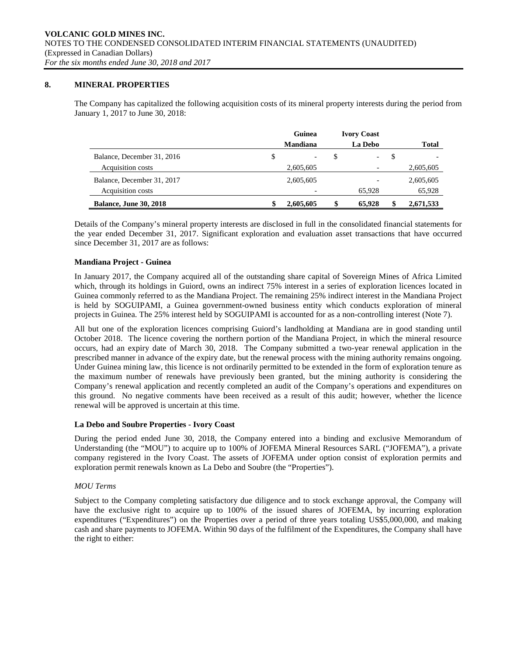### **8. MINERAL PROPERTIES**

The Company has capitalized the following acquisition costs of its mineral property interests during the period from January 1, 2017 to June 30, 2018:

|                               | Guinea          |    | <b>Ivory Coast</b>       |    |              |
|-------------------------------|-----------------|----|--------------------------|----|--------------|
|                               | <b>Mandiana</b> |    | La Debo                  |    | <b>Total</b> |
| Balance, December 31, 2016    | \$              | S  | $\overline{\phantom{a}}$ | -S |              |
| Acquisition costs             | 2,605,605       |    |                          |    | 2,605,605    |
| Balance, December 31, 2017    | 2,605,605       |    |                          |    | 2,605,605    |
| Acquisition costs             |                 |    | 65.928                   |    | 65,928       |
| <b>Balance, June 30, 2018</b> | 2,605,605       | \$ | 65,928                   | \$ | 2,671,533    |

Details of the Company's mineral property interests are disclosed in full in the consolidated financial statements for the year ended December 31, 2017. Significant exploration and evaluation asset transactions that have occurred since December 31, 2017 are as follows:

# **Mandiana Project - Guinea**

In January 2017, the Company acquired all of the outstanding share capital of Sovereign Mines of Africa Limited which, through its holdings in Guiord, owns an indirect 75% interest in a series of exploration licences located in Guinea commonly referred to as the Mandiana Project. The remaining 25% indirect interest in the Mandiana Project is held by SOGUIPAMI, a Guinea government-owned business entity which conducts exploration of mineral projects in Guinea. The 25% interest held by SOGUIPAMI is accounted for as a non-controlling interest (Note 7).

All but one of the exploration licences comprising Guiord's landholding at Mandiana are in good standing until October 2018. The licence covering the northern portion of the Mandiana Project, in which the mineral resource occurs, had an expiry date of March 30, 2018. The Company submitted a two-year renewal application in the prescribed manner in advance of the expiry date, but the renewal process with the mining authority remains ongoing. Under Guinea mining law, this licence is not ordinarily permitted to be extended in the form of exploration tenure as the maximum number of renewals have previously been granted, but the mining authority is considering the Company's renewal application and recently completed an audit of the Company's operations and expenditures on this ground. No negative comments have been received as a result of this audit; however, whether the licence renewal will be approved is uncertain at this time.

### **La Debo and Soubre Properties - Ivory Coast**

During the period ended June 30, 2018, the Company entered into a binding and exclusive Memorandum of Understanding (the "MOU") to acquire up to 100% of JOFEMA Mineral Resources SARL ("JOFEMA"), a private company registered in the Ivory Coast. The assets of JOFEMA under option consist of exploration permits and exploration permit renewals known as La Debo and Soubre (the "Properties").

# *MOU Terms*

Subject to the Company completing satisfactory due diligence and to stock exchange approval, the Company will have the exclusive right to acquire up to 100% of the issued shares of JOFEMA, by incurring exploration expenditures ("Expenditures") on the Properties over a period of three years totaling US\$5,000,000, and making cash and share payments to JOFEMA. Within 90 days of the fulfilment of the Expenditures, the Company shall have the right to either: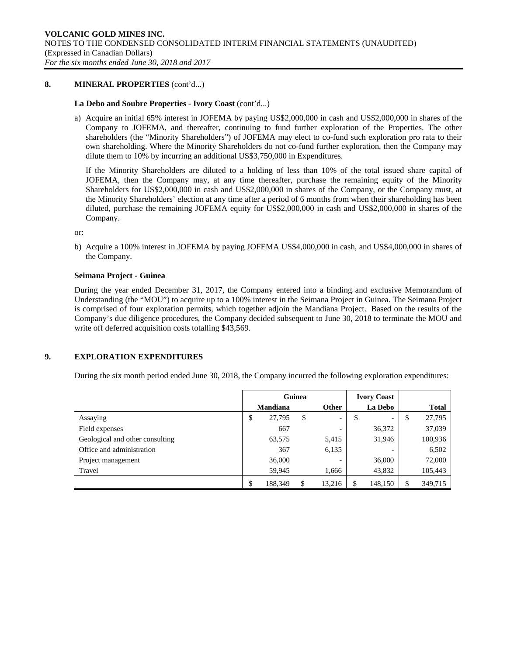### **8. MINERAL PROPERTIES** (cont'd...)

### **La Debo and Soubre Properties - Ivory Coast** (cont'd...)

a) Acquire an initial 65% interest in JOFEMA by paying US\$2,000,000 in cash and US\$2,000,000 in shares of the Company to JOFEMA, and thereafter, continuing to fund further exploration of the Properties. The other shareholders (the "Minority Shareholders") of JOFEMA may elect to co-fund such exploration pro rata to their own shareholding. Where the Minority Shareholders do not co-fund further exploration, then the Company may dilute them to 10% by incurring an additional US\$3,750,000 in Expenditures.

If the Minority Shareholders are diluted to a holding of less than 10% of the total issued share capital of JOFEMA, then the Company may, at any time thereafter, purchase the remaining equity of the Minority Shareholders for US\$2,000,000 in cash and US\$2,000,000 in shares of the Company, or the Company must, at the Minority Shareholders' election at any time after a period of 6 months from when their shareholding has been diluted, purchase the remaining JOFEMA equity for US\$2,000,000 in cash and US\$2,000,000 in shares of the Company.

or:

b) Acquire a 100% interest in JOFEMA by paying JOFEMA US\$4,000,000 in cash, and US\$4,000,000 in shares of the Company.

### **Seimana Project - Guinea**

During the year ended December 31, 2017, the Company entered into a binding and exclusive Memorandum of Understanding (the "MOU") to acquire up to a 100% interest in the Seimana Project in Guinea. The Seimana Project is comprised of four exploration permits, which together adjoin the Mandiana Project. Based on the results of the Company's due diligence procedures, the Company decided subsequent to June 30, 2018 to terminate the MOU and write off deferred acquisition costs totalling \$43,569.

# **9. EXPLORATION EXPENDITURES**

During the six month period ended June 30, 2018, the Company incurred the following exploration expenditures:

|                                 | Guinea          |         |       |                          |        | <b>Ivory Coast</b>       |    |              |
|---------------------------------|-----------------|---------|-------|--------------------------|--------|--------------------------|----|--------------|
|                                 | <b>Mandiana</b> |         |       | <b>Other</b>             |        | <b>La Debo</b>           |    | <b>Total</b> |
| Assaying                        | \$              | 27,795  | \$    | $\overline{\phantom{0}}$ | \$     | $\overline{\phantom{0}}$ | \$ | 27,795       |
| Field expenses                  |                 | 667     |       | $\overline{\phantom{0}}$ |        | 36,372                   |    | 37,039       |
| Geological and other consulting | 63,575          |         |       | 5,415                    | 31,946 |                          |    | 100,936      |
| Office and administration       |                 | 367     |       | 6,135                    |        | $\overline{\phantom{0}}$ |    | 6,502        |
| Project management              |                 | 36,000  |       | $\overline{\phantom{0}}$ |        | 36,000                   |    | 72,000       |
| Travel                          | 59,945          |         | 1,666 |                          | 43,832 |                          |    | 105,443      |
|                                 | \$              | 188,349 |       | 13,216                   | S      | 148,150                  | S  | 349,715      |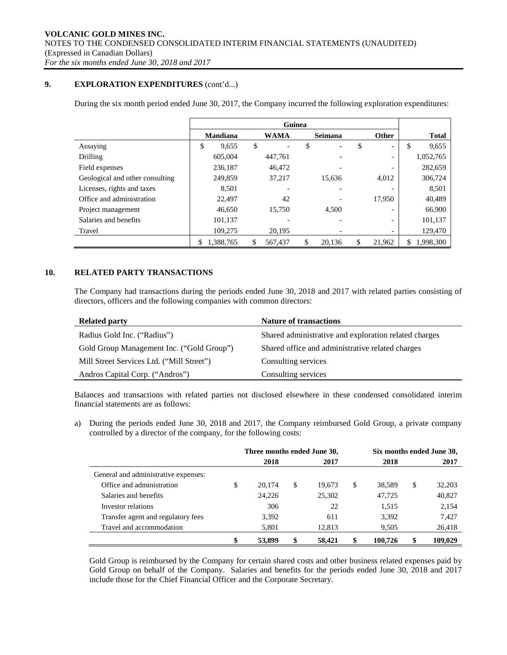# **9. EXPLORATION EXPENDITURES** (cont'd...)

During the six month period ended June 30, 2017, the Company incurred the following exploration expenditures:

|                                 | Guinea          |    |                          |    |         |    |                          |    |              |
|---------------------------------|-----------------|----|--------------------------|----|---------|----|--------------------------|----|--------------|
|                                 | <b>Mandiana</b> |    | <b>WAMA</b>              |    | Seimana |    | <b>Other</b>             |    | <b>Total</b> |
| Assaying                        | \$<br>9,655     | \$ | $\overline{\phantom{a}}$ | \$ |         | \$ | $\overline{\phantom{0}}$ | \$ | 9,655        |
| Drilling                        | 605,004         |    | 447.761                  |    |         |    | -                        |    | 1,052,765    |
| Field expenses                  | 236,187         |    | 46.472                   |    |         |    |                          |    | 282,659      |
| Geological and other consulting | 249,859         |    | 37,217                   |    | 15.636  |    | 4,012                    |    | 306,724      |
| Licenses, rights and taxes      | 8.501           |    |                          |    |         |    |                          |    | 8,501        |
| Office and administration       | 22.497          |    | 42                       |    |         |    | 17.950                   |    | 40,489       |
| Project management              | 46.650          |    | 15.750                   |    | 4.500   |    | -                        |    | 66,900       |
| Salaries and benefits           | 101,137         |    |                          |    |         |    | -                        |    | 101,137      |
| Travel                          | 109,275         |    | 20,195                   |    |         |    | $\overline{\phantom{a}}$ |    | 129,470      |
|                                 | 1.388.765       | S  | 567.437                  | \$ | 20.136  | \$ | 21.962                   | \$ | 1.998.300    |

# **10. RELATED PARTY TRANSACTIONS**

The Company had transactions during the periods ended June 30, 2018 and 2017 with related parties consisting of directors, officers and the following companies with common directors:

| <b>Related party</b>                      | <b>Nature of transactions</b>                         |
|-------------------------------------------|-------------------------------------------------------|
| Radius Gold Inc. ("Radius")               | Shared administrative and exploration related charges |
| Gold Group Management Inc. ("Gold Group") | Shared office and administrative related charges      |
| Mill Street Services Ltd. ("Mill Street") | Consulting services                                   |
| Andros Capital Corp. ("Andros")           | Consulting services                                   |

Balances and transactions with related parties not disclosed elsewhere in these condensed consolidated interim financial statements are as follows:

a) During the periods ended June 30, 2018 and 2017, the Company reimbursed Gold Group, a private company controlled by a director of the company, for the following costs:

|                                      |              | Three months ended June 30, |    |        | Six months ended June 30, |         |              |
|--------------------------------------|--------------|-----------------------------|----|--------|---------------------------|---------|--------------|
|                                      | 2018<br>2017 |                             |    |        |                           |         | 2017         |
| General and administrative expenses: |              |                             |    |        |                           |         |              |
| Office and administration            | \$           | 20.174                      | \$ | 19.673 | \$                        | 38,589  | \$<br>32,203 |
| Salaries and benefits                |              | 24,226                      |    | 25,302 |                           | 47,725  | 40,827       |
| Investor relations                   |              | 306                         |    | 22     |                           | 1,515   | 2,154        |
| Transfer agent and regulatory fees   |              | 3,392                       |    | 611    |                           | 3,392   | 7,427        |
| Travel and accommodation             |              | 5,801                       |    | 12,813 |                           | 9,505   | 26,418       |
|                                      | \$           | 53,899                      | \$ | 58,421 |                           | 100.726 | 109.029      |

Gold Group is reimbursed by the Company for certain shared costs and other business related expenses paid by Gold Group on behalf of the Company. Salaries and benefits for the periods ended June 30, 2018 and 2017 include those for the Chief Financial Officer and the Corporate Secretary.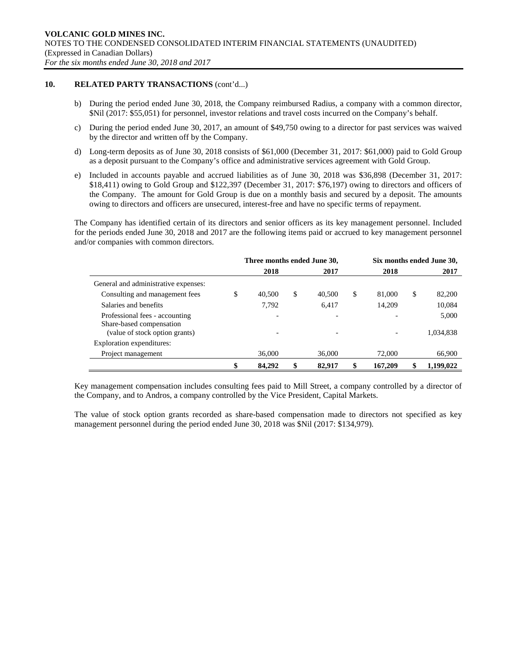# **10. RELATED PARTY TRANSACTIONS** (cont'd...)

- b) During the period ended June 30, 2018, the Company reimbursed Radius, a company with a common director, \$Nil (2017: \$55,051) for personnel, investor relations and travel costs incurred on the Company's behalf.
- c) During the period ended June 30, 2017, an amount of \$49,750 owing to a director for past services was waived by the director and written off by the Company.
- d) Long-term deposits as of June 30, 2018 consists of \$61,000 (December 31, 2017: \$61,000) paid to Gold Group as a deposit pursuant to the Company's office and administrative services agreement with Gold Group.
- e) Included in accounts payable and accrued liabilities as of June 30, 2018 was \$36,898 (December 31, 2017: \$18,411) owing to Gold Group and \$122,397 (December 31, 2017: \$76,197) owing to directors and officers of the Company. The amount for Gold Group is due on a monthly basis and secured by a deposit. The amounts owing to directors and officers are unsecured, interest-free and have no specific terms of repayment.

The Company has identified certain of its directors and senior officers as its key management personnel. Included for the periods ended June 30, 2018 and 2017 are the following items paid or accrued to key management personnel and/or companies with common directors.

|                                                            |    | Three months ended June 30, |    | Six months ended June 30, |    |         |    |           |
|------------------------------------------------------------|----|-----------------------------|----|---------------------------|----|---------|----|-----------|
|                                                            |    | 2018                        |    | 2017                      |    | 2018    |    | 2017      |
| General and administrative expenses:                       |    |                             |    |                           |    |         |    |           |
| Consulting and management fees                             | J  | 40,500                      | \$ | 40,500                    | \$ | 81,000  | \$ | 82,200    |
| Salaries and benefits                                      |    | 7,792                       |    | 6,417                     |    | 14,209  |    | 10,084    |
| Professional fees - accounting<br>Share-based compensation |    |                             |    |                           |    |         |    | 5,000     |
| (value of stock option grants)                             |    |                             |    |                           |    |         |    | 1,034,838 |
| Exploration expenditures:                                  |    |                             |    |                           |    |         |    |           |
| Project management                                         |    | 36,000                      |    | 36,000                    |    | 72,000  |    | 66,900    |
|                                                            | \$ | 84,292                      |    | 82,917                    |    | 167,209 |    | 1.199.022 |

Key management compensation includes consulting fees paid to Mill Street, a company controlled by a director of the Company, and to Andros, a company controlled by the Vice President, Capital Markets.

The value of stock option grants recorded as share-based compensation made to directors not specified as key management personnel during the period ended June 30, 2018 was \$Nil (2017: \$134,979).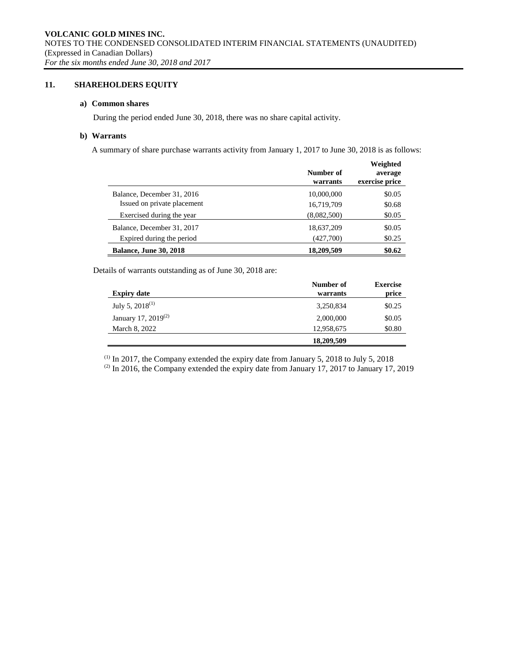# **11. SHAREHOLDERS EQUITY**

# **a) Common shares**

During the period ended June 30, 2018, there was no share capital activity.

### **b) Warrants**

A summary of share purchase warrants activity from January 1, 2017 to June 30, 2018 is as follows:

|                               | Number of<br>warrants | Weighted<br>average<br>exercise price |
|-------------------------------|-----------------------|---------------------------------------|
| Balance, December 31, 2016    | 10,000,000            | \$0.05                                |
| Issued on private placement   | 16.719.709            | \$0.68                                |
| Exercised during the year     | (8,082,500)           | \$0.05                                |
| Balance, December 31, 2017    | 18,637,209            | \$0.05                                |
| Expired during the period     | (427,700)             | \$0.25                                |
| <b>Balance, June 30, 2018</b> | 18,209,509            | \$0.62                                |

Details of warrants outstanding as of June 30, 2018 are:

|                                 | Number of  | <b>Exercise</b> |
|---------------------------------|------------|-----------------|
| <b>Expiry date</b>              | warrants   | price           |
| July 5, $2018^{(1)}$            | 3,250,834  | \$0.25          |
| January 17, 2019 <sup>(2)</sup> | 2,000,000  | \$0.05          |
| March 8, 2022                   | 12,958,675 | \$0.80          |
|                                 | 18,209,509 |                 |

 $(1)$  In 2017, the Company extended the expiry date from January 5, 2018 to July 5, 2018

 $(2)$  In 2016, the Company extended the expiry date from January 17, 2017 to January 17, 2019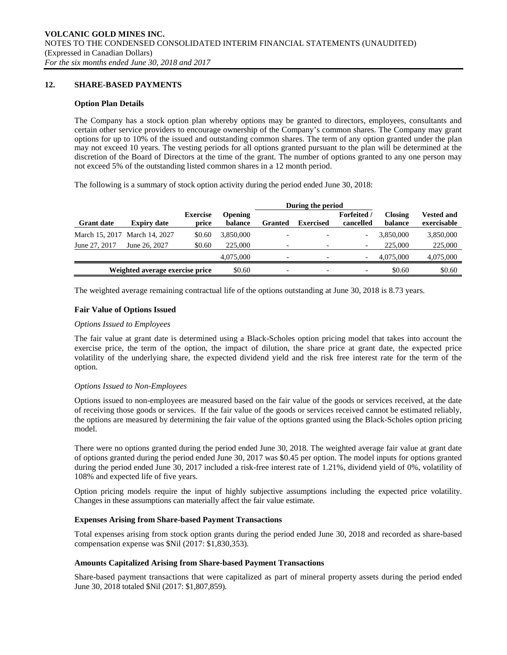### **12. SHARE-BASED PAYMENTS**

### **Option Plan Details**

The Company has a stock option plan whereby options may be granted to directors, employees, consultants and certain other service providers to encourage ownership of the Company's common shares. The Company may grant options for up to 10% of the issued and outstanding common shares. The term of any option granted under the plan may not exceed 10 years. The vesting periods for all options granted pursuant to the plan will be determined at the discretion of the Board of Directors at the time of the grant. The number of options granted to any one person may not exceed 5% of the outstanding listed common shares in a 12 month period.

The following is a summary of stock option activity during the period ended June 30, 2018:

|                   |                                 |                          |                           | During the period        |                  |                                 |                           |                                  |
|-------------------|---------------------------------|--------------------------|---------------------------|--------------------------|------------------|---------------------------------|---------------------------|----------------------------------|
| <b>Grant date</b> | <b>Expiry date</b>              | <b>Exercise</b><br>price | <b>Opening</b><br>balance | <b>Granted</b>           | <b>Exercised</b> | <b>Forfeited</b> /<br>cancelled | <b>Closing</b><br>balance | <b>Vested and</b><br>exercisable |
|                   | March 15, 2017 March 14, 2027   | \$0.60                   | 3.850,000                 |                          |                  | $\overline{\phantom{a}}$        | 3.850,000                 | 3,850,000                        |
| June 27, 2017     | June 26, 2027                   | \$0.60                   | 225,000                   |                          |                  | $\overline{\phantom{a}}$        | 225,000                   | 225,000                          |
|                   |                                 |                          | 4,075,000                 | $\overline{\phantom{0}}$ |                  | $\overline{\phantom{a}}$        | 4,075,000                 | 4,075,000                        |
|                   | Weighted average exercise price |                          | \$0.60                    | $\overline{\phantom{0}}$ |                  | $\overline{\phantom{a}}$        | \$0.60                    | \$0.60                           |

The weighted average remaining contractual life of the options outstanding at June 30, 2018 is 8.73 years.

### **Fair Value of Options Issued**

### *Options Issued to Employees*

The fair value at grant date is determined using a Black-Scholes option pricing model that takes into account the exercise price, the term of the option, the impact of dilution, the share price at grant date, the expected price volatility of the underlying share, the expected dividend yield and the risk free interest rate for the term of the option.

### *Options Issued to Non-Employees*

Options issued to non-employees are measured based on the fair value of the goods or services received, at the date of receiving those goods or services. If the fair value of the goods or services received cannot be estimated reliably, the options are measured by determining the fair value of the options granted using the Black-Scholes option pricing model.

There were no options granted during the period ended June 30, 2018. The weighted average fair value at grant date of options granted during the period ended June 30, 2017 was \$0.45 per option. The model inputs for options granted during the period ended June 30, 2017 included a risk-free interest rate of 1.21%, dividend yield of 0%, volatility of 108% and expected life of five years.

Option pricing models require the input of highly subjective assumptions including the expected price volatility. Changes in these assumptions can materially affect the fair value estimate.

### **Expenses Arising from Share-based Payment Transactions**

Total expenses arising from stock option grants during the period ended June 30, 2018 and recorded as share-based compensation expense was \$Nil (2017: \$1,830,353).

### **Amounts Capitalized Arising from Share-based Payment Transactions**

Share-based payment transactions that were capitalized as part of mineral property assets during the period ended June 30, 2018 totaled \$Nil (2017: \$1,807,859).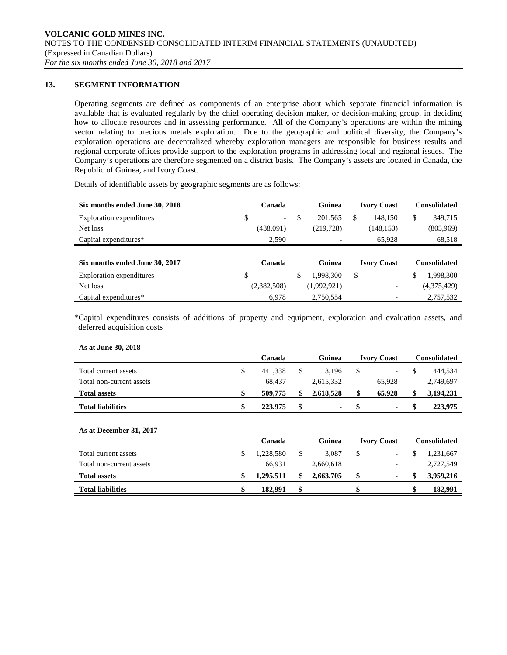# **13. SEGMENT INFORMATION**

Operating segments are defined as components of an enterprise about which separate financial information is available that is evaluated regularly by the chief operating decision maker, or decision-making group, in deciding how to allocate resources and in assessing performance. All of the Company's operations are within the mining sector relating to precious metals exploration. Due to the geographic and political diversity, the Company's exploration operations are decentralized whereby exploration managers are responsible for business results and regional corporate offices provide support to the exploration programs in addressing local and regional issues. The Company's operations are therefore segmented on a district basis. The Company's assets are located in Canada, the Republic of Guinea, and Ivory Coast.

Details of identifiable assets by geographic segments are as follows:

| Six months ended June 30, 2018 | Canada |                          |    | Guinea                   | <b>Ivory Coast</b> |                    | <b>Consolidated</b> |                     |
|--------------------------------|--------|--------------------------|----|--------------------------|--------------------|--------------------|---------------------|---------------------|
| Exploration expenditures       | \$     | $\overline{\phantom{0}}$ | \$ | 201.565                  | \$                 | 148,150            | \$                  | 349,715             |
| Net loss                       |        | (438,091)                |    | (219, 728)               |                    | (148, 150)         |                     | (805,969)           |
| Capital expenditures*          |        | 2,590                    |    | $\overline{\phantom{0}}$ |                    | 65,928             |                     | 68,518              |
|                                |        |                          |    |                          |                    |                    |                     |                     |
| Six months ended June 30, 2017 |        | Canada                   |    | Guinea                   |                    | <b>Ivory Coast</b> |                     | <b>Consolidated</b> |
| Exploration expenditures       | \$     | $\overline{\phantom{a}}$ | S  | 1,998,300                | \$                 |                    | \$                  | 1,998,300           |
| Net loss                       |        | (2,382,508)              |    | (1,992,921)              |                    |                    |                     | (4,375,429)         |
| Capital expenditures*          |        | 6,978                    |    | 2,750,554                |                    |                    |                     | 2,757,532           |

\*Capital expenditures consists of additions of property and equipment, exploration and evaluation assets, and deferred acquisition costs

### **As at June 30, 2018**

|                          | Canada        | Guinea | <b>Ivory Coast</b> | Consolidated |  |           |
|--------------------------|---------------|--------|--------------------|--------------|--|-----------|
| Total current assets     | \$<br>441.338 |        | 3.196              |              |  | 444.534   |
| Total non-current assets | 68.437        |        | 2.615.332          | 65.928       |  | 2,749,697 |
| <b>Total assets</b>      | 509,775       |        | 2.618.528          | 65.928       |  | 3,194,231 |
| <b>Total liabilities</b> | 223,975       |        | ۰.                 |              |  | 223,975   |

### **As at December 31, 2017**

|                          | Canada    |  | Guinea    | <b>Ivory Coast</b> |                          | Consolidated |           |
|--------------------------|-----------|--|-----------|--------------------|--------------------------|--------------|-----------|
| Total current assets     | 1.228.580 |  | 3.087     |                    | -                        |              | 1.231.667 |
| Total non-current assets | 66.931    |  | 2,660,618 |                    | $\overline{\phantom{0}}$ |              | 2,727,549 |
| <b>Total assets</b>      | 1,295,511 |  | 2,663,705 |                    | ٠                        |              | 3,959,216 |
| <b>Total liabilities</b> | 182.991   |  | ۰.        |                    |                          |              | 182.991   |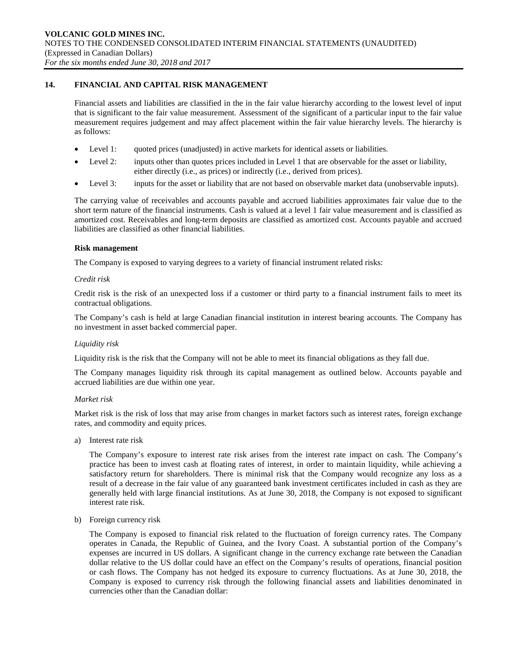# **14. FINANCIAL AND CAPITAL RISK MANAGEMENT**

Financial assets and liabilities are classified in the in the fair value hierarchy according to the lowest level of input that is significant to the fair value measurement. Assessment of the significant of a particular input to the fair value measurement requires judgement and may affect placement within the fair value hierarchy levels. The hierarchy is as follows:

- Level 1: quoted prices (unadjusted) in active markets for identical assets or liabilities.
- Level 2: inputs other than quotes prices included in Level 1 that are observable for the asset or liability, either directly (i.e., as prices) or indirectly (i.e., derived from prices).
- Level 3: inputs for the asset or liability that are not based on observable market data (unobservable inputs).

The carrying value of receivables and accounts payable and accrued liabilities approximates fair value due to the short term nature of the financial instruments. Cash is valued at a level 1 fair value measurement and is classified as amortized cost. Receivables and long-term deposits are classified as amortized cost. Accounts payable and accrued liabilities are classified as other financial liabilities.

### **Risk management**

The Company is exposed to varying degrees to a variety of financial instrument related risks:

### *Credit risk*

Credit risk is the risk of an unexpected loss if a customer or third party to a financial instrument fails to meet its contractual obligations.

The Company's cash is held at large Canadian financial institution in interest bearing accounts. The Company has no investment in asset backed commercial paper.

### *Liquidity risk*

Liquidity risk is the risk that the Company will not be able to meet its financial obligations as they fall due.

The Company manages liquidity risk through its capital management as outlined below. Accounts payable and accrued liabilities are due within one year.

### *Market risk*

Market risk is the risk of loss that may arise from changes in market factors such as interest rates, foreign exchange rates, and commodity and equity prices.

a) Interest rate risk

The Company's exposure to interest rate risk arises from the interest rate impact on cash. The Company's practice has been to invest cash at floating rates of interest, in order to maintain liquidity, while achieving a satisfactory return for shareholders. There is minimal risk that the Company would recognize any loss as a result of a decrease in the fair value of any guaranteed bank investment certificates included in cash as they are generally held with large financial institutions. As at June 30, 2018, the Company is not exposed to significant interest rate risk.

b) Foreign currency risk

The Company is exposed to financial risk related to the fluctuation of foreign currency rates. The Company operates in Canada, the Republic of Guinea, and the Ivory Coast. A substantial portion of the Company's expenses are incurred in US dollars. A significant change in the currency exchange rate between the Canadian dollar relative to the US dollar could have an effect on the Company's results of operations, financial position or cash flows. The Company has not hedged its exposure to currency fluctuations. As at June 30, 2018, the Company is exposed to currency risk through the following financial assets and liabilities denominated in currencies other than the Canadian dollar: